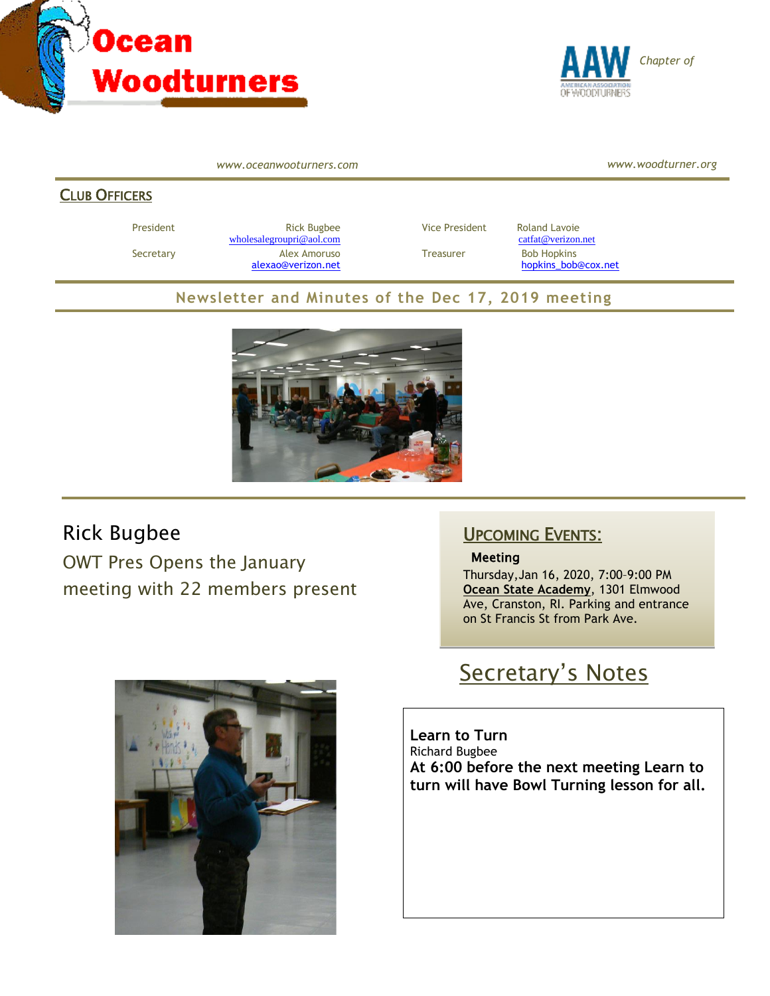



*www.oceanwooturners.com*

*www.woodturner.org*

#### **CLUB OFFICERS**

President **Rick Bugbee Rick Bugbee** Vice President Roland Lavoie [wholesalegroupri@aol.com](mailto:wholesalegroupri@aol.com) [catfat@verizon.net](mailto:catfat@verizon.net) Secretary **Alex Amoruso Treasurer** Bob Hopkins

[alexao@verizon.net](mailto:alexao@verizon.net) [hopkins\\_bob@cox.net](mailto:hopkins_bob@cox.net)

### **Newsletter and Minutes of the Dec 17, 2019 meeting**



### Rick Bugbee

OWT Pres Opens the January meeting with 22 members present

### UPCOMING EVENTS:

#### **Meeting**

Thursday,Jan 16, 2020, 7:00–9:00 PM **Ocean State Academy**, 1301 Elmwood Ave, Cranston, RI. Parking and entrance on St Francis St from Park Ave.



# Secretary's Notes

**Learn to Turn** Richard Bugbee **At 6:00 before the next meeting Learn to turn will have Bowl Turning lesson for all.**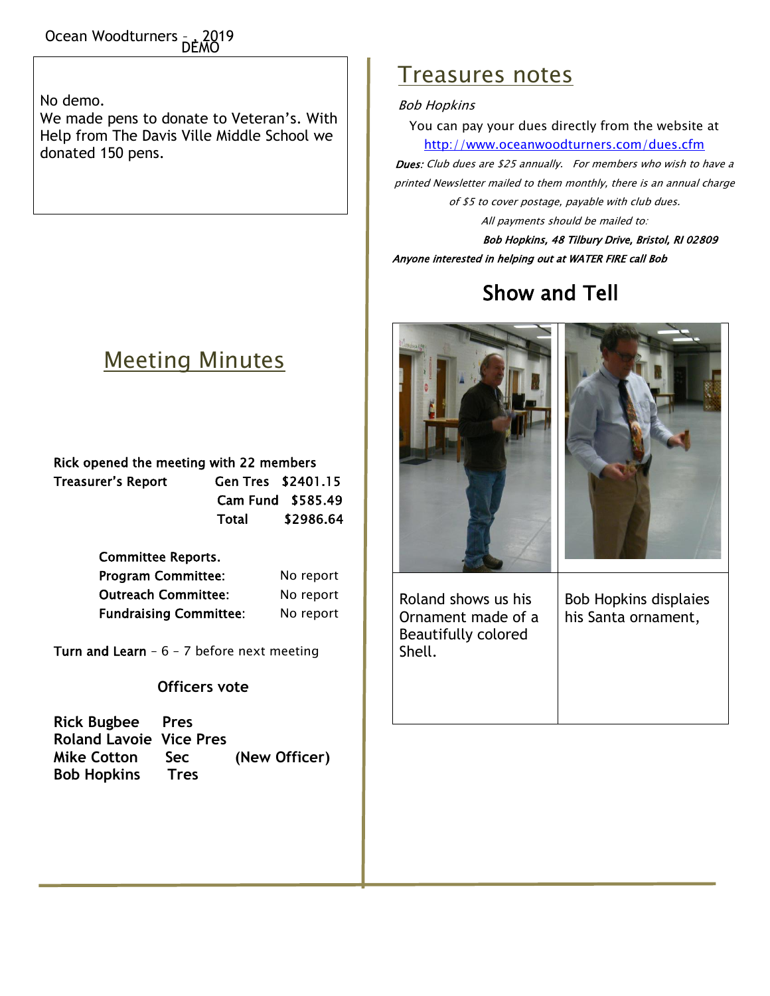Ocean Woodturners <sub>= +</sub> 2019 DEMO

No demo.

We made pens to donate to Veteran's. With Help from The Davis Ville Middle School we donated 150 pens.

## Meeting Minutes

| Rick opened the meeting with 22 members |                    |           |  |  |
|-----------------------------------------|--------------------|-----------|--|--|
| Treasurer's Report                      | Gen Tres \$2401.15 |           |  |  |
|                                         | Cam Fund \$585.49  |           |  |  |
|                                         | Total              | \$2986.64 |  |  |

| <b>Committee Reports.</b>     |           |
|-------------------------------|-----------|
| <b>Program Committee:</b>     | No report |
| <b>Outreach Committee:</b>    | No report |
| <b>Fundraising Committee:</b> | No report |

Turn and Learn -  $6 - 7$  before next meeting

#### **Officers vote**

| <b>Rick Bugbee Pres</b>        |             |               |
|--------------------------------|-------------|---------------|
| <b>Roland Lavoie Vice Pres</b> |             |               |
| <b>Mike Cotton</b>             | <b>Sec</b>  | (New Officer) |
| <b>Bob Hopkins</b>             | <b>Tres</b> |               |

## Treasures notes

#### Bob Hopkins

You can pay your dues directly from the website at <http://www.oceanwoodturners.com/dues.cfm>

Dues: Club dues are \$25 annually. For members who wish to have a printed Newsletter mailed to them monthly, there is an annual charge of \$5 to cover postage, payable with club dues.

All payments should be mailed to:

Bob Hopkins, 48 Tilbury Drive, Bristol, RI 02809 Anyone interested in helping out at WATER FIRE call Bob

# Show and Tell





Roland shows us his Ornament made of a Beautifully colored Shell.

Bob Hopkins displaies his Santa ornament,